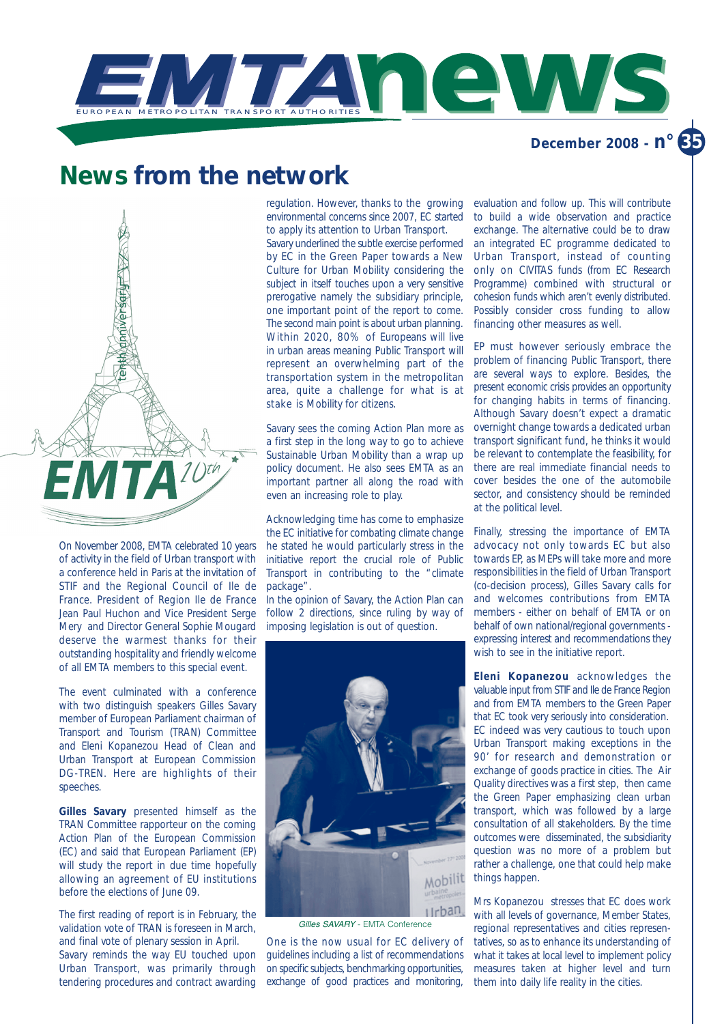

# **News from the network**



On November 2008, EMTA celebrated 10 years of activity in the field of Urban transport with a conference held in Paris at the invitation of STIF and the Regional Council of Ile de France. President of Region Ile de France Jean Paul Huchon and Vice President Serge Mery and Director General Sophie Mougard deserve the warmest thanks for their outstanding hospitality and friendly welcome of all EMTA members to this special event.

The event culminated with a conference with two distinguish speakers Gilles Savary member of European Parliament chairman of Transport and Tourism (TRAN) Committee and Eleni Kopanezou Head of Clean and Urban Transport at European Commission DG-TREN. Here are highlights of their speeches.

**Gilles Savary** presented himself as the TRAN Committee rapporteur on the coming Action Plan of the European Commission (EC) and said that European Parliament (EP) will study the report in due time hopefully allowing an agreement of EU institutions before the elections of June 09.

The first reading of report is in February, the validation vote of TRAN is foreseen in March, and final vote of plenary session in April.

Savary reminds the way EU touched upon Urban Transport, was primarily through tendering procedures and contract awarding regulation. However, thanks to the growing environmental concerns since 2007, EC started to apply its attention to Urban Transport.

Savary underlined the subtle exercise performed by EC in the Green Paper towards a New Culture for Urban Mobility considering the subject in itself touches upon a very sensitive prerogative namely the subsidiary principle, one important point of the report to come. The second main point is about urban planning. Within 2020, 80% of Europeans will live in urban areas meaning Public Transport will represent an overwhelming part of the transportation system in the metropolitan area, quite a challenge for what is at stake is Mobility for citizens.

Savary sees the coming Action Plan more as a first step in the long way to go to achieve Sustainable Urban Mobility than a wrap up policy document. He also sees EMTA as an important partner all along the road with even an increasing role to play.

Acknowledging time has come to emphasize the EC initiative for combating climate change he stated he would particularly stress in the initiative report the crucial role of Public Transport in contributing to the "climate package".

In the opinion of Savary, the Action Plan can follow 2 directions, since ruling by way of imposing legislation is out of question.



Gilles SAVARY - EMTA Conference

One is the now usual for EC delivery of guidelines including a list of recommendations on specific subjects, benchmarking opportunities, exchange of good practices and monitoring,

evaluation and follow up. This will contribute to build a wide observation and practice exchange. The alternative could be to draw an integrated EC programme dedicated to Urban Transport, instead of counting only on CIVITAS funds (from EC Research Programme) combined with structural or cohesion funds which aren't evenly distributed. Possibly consider cross funding to allow financing other measures as well.

EP must however seriously embrace the problem of financing Public Transport, there are several ways to explore. Besides, the present economic crisis provides an opportunity for changing habits in terms of financing. Although Savary doesn't expect a dramatic overnight change towards a dedicated urban transport significant fund, he thinks it would be relevant to contemplate the feasibility, for there are real immediate financial needs to cover besides the one of the automobile sector, and consistency should be reminded at the political level.

Finally, stressing the importance of EMTA advocacy not only towards EC but also towards EP, as MEPs will take more and more responsibilities in the field of Urban Transport (co-decision process), Gilles Savary calls for and welcomes contributions from EMTA members - either on behalf of EMTA or on behalf of own national/regional governments expressing interest and recommendations they wish to see in the initiative report.

**Eleni Kopanezou** acknowledges the valuable input from STIF and Ile de France Region and from EMTA members to the Green Paper that EC took very seriously into consideration. EC indeed was very cautious to touch upon Urban Transport making exceptions in the 90' for research and demonstration or exchange of goods practice in cities. The Air Quality directives was a first step, then came the Green Paper emphasizing clean urban transport, which was followed by a large consultation of all stakeholders. By the time outcomes were disseminated, the subsidiarity question was no more of a problem but rather a challenge, one that could help make things happen.

Mrs Kopanezou stresses that EC does work with all levels of governance, Member States, regional representatives and cities representatives, so as to enhance its understanding of what it takes at local level to implement policy measures taken at higher level and turn them into daily life reality in the cities.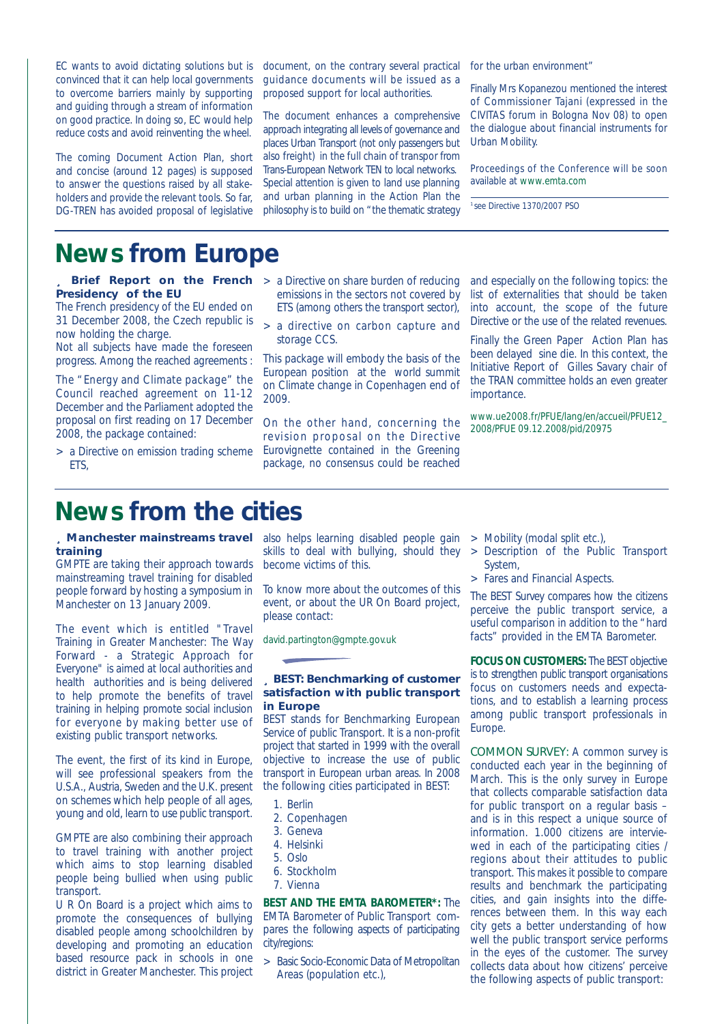EC wants to avoid dictating solutions but is convinced that it can help local governments to overcome barriers mainly by supporting and guiding through a stream of information on good practice. In doing so, EC would help reduce costs and avoid reinventing the wheel.

The coming Document Action Plan, short and concise (around 12 pages) is supposed to answer the questions raised by all stakeholders and provide the relevant tools. So far, DG-TREN has avoided proposal of legislative

document, on the contrary several practical guidance documents will be issued as a proposed support for local authorities.

The document enhances a comprehensive approach integrating all levels of governance and places Urban Transport (not only passengers but also freight) in the full chain of transpor from Trans-European Network TEN to local networks. Special attention is given to land use planning and urban planning in the Action Plan the philosophy is to build on "the thematic strategy for the urban environment'

Finally Mrs Kopanezou mentioned the interest of Commissioner Tajani (expressed in the CIVITAS forum in Bologna Nov 08) to open the dialogue about financial instruments for Urban Mobility.

*Proceedings of the Conference will be soon available at www.emta.com*

<sup>1</sup>*see Directive 1370/2007 PSO*

# **News from Europe**

- **Brief Report on the French** > a Directive on share burden of reducing **Presidency of the EU**
- The French presidency of the EU ended on 31 December 2008, the Czech republic is now holding the charge.

Not all subjects have made the foreseen progress. Among the reached agreements :

The "Energy and Climate package" the Council reached agreement on 11-12 December and the Parliament adopted the proposal on first reading on 17 December 2008, the package contained:

> a Directive on emission trading scheme ETS,

- emissions in the sectors not covered by ETS (among others the transport sector),
- > a directive on carbon capture and storage CCS.

This package will embody the basis of the European position at the world summit on Climate change in Copenhagen end of 2009.

On the other hand, concerning the revision proposal on the Directive Eurovignette contained in the Greening package, no consensus could be reached and especially on the following topics: the list of externalities that should be taken into account, the scope of the future Directive or the use of the related revenues.

Finally the Green Paper Action Plan has been delayed sine die. In this context, the Initiative Report of Gilles Savary chair of the TRAN committee holds an even greater importance.

*www.ue2008.fr/PFUE/lang/en/accueil/PFUE12\_ 2008/PFUE 09.12.2008/pid/20975*

### **News from the cities**

## **training**

GMPTE are taking their approach towards mainstreaming travel training for disabled people forward by hosting a symposium in Manchester on 13 January 2009.

The event which is entitled "Travel Training in Greater Manchester: The Way Forward - a Strategic Approach for Everyone" is aimed at local authorities and health authorities and is being delivered to help promote the benefits of travel training in helping promote social inclusion for everyone by making better use of existing public transport networks.

The event, the first of its kind in Europe, will see professional speakers from the U.S.A., Austria, Sweden and the U.K. present on schemes which help people of all ages, young and old, learn to use public transport.

GMPTE are also combining their approach to travel training with another project which aims to stop learning disabled people being bullied when using public transport.

U R On Board is a project which aims to promote the consequences of bullying disabled people among schoolchildren by developing and promoting an education based resource pack in schools in one district in Greater Manchester. This project

**Manchester mainstreams travel** also helps learning disabled people gain skills to deal with bullying, should they become victims of this.

> To know more about the outcomes of this event, or about the UR On Board project, please contact:

*david.partington@gmpte.gov.uk*

### z **BEST: Benchmarking of customer satisfaction with public transport in Europe**

BEST stands for Benchmarking European Service of public Transport. It is a non-profit project that started in 1999 with the overall objective to increase the use of public transport in European urban areas. In 2008 the following cities participated in BEST:

- 1. Berlin
- 2. Copenhagen
- 3. Geneva
- 4. Helsinki
- 5. Oslo
- 6. Stockholm
- 7. Vienna

**BEST AND THE EMTA BAROMETER\*:** The EMTA Barometer of Public Transport compares the following aspects of participating city/regions:

> Basic Socio-Economic Data of Metropolitan Areas (population etc.),

- > Mobility (modal split etc.),
- > Description of the Public Transport System,
- > Fares and Financial Aspects.

The BEST Survey compares how the citizens perceive the public transport service, a useful comparison in addition to the "hard facts" provided in the EMTA Barometer.

**FOCUS ON CUSTOMERS:** The BEST objective is to strengthen public transport organisations focus on customers needs and expectations, and to establish a learning process among public transport professionals in Europe.

COMMON SURVEY: A common survey is conducted each year in the beginning of March. This is the only survey in Europe that collects comparable satisfaction data for public transport on a regular basis – and is in this respect a unique source of information. 1.000 citizens are interviewed in each of the participating cities / regions about their attitudes to public transport. This makes it possible to compare results and benchmark the participating cities, and gain insights into the differences between them. In this way each city gets a better understanding of how well the public transport service performs in the eyes of the customer. The survey collects data about how citizens' perceive the following aspects of public transport: